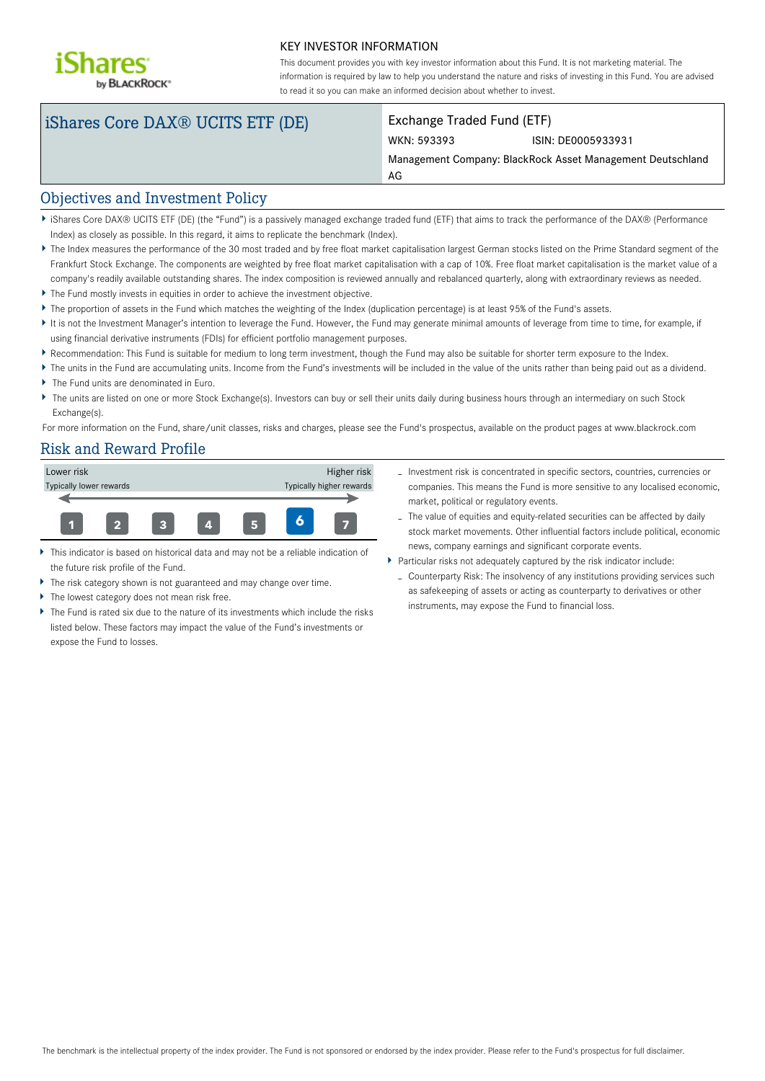

#### KEY INVESTOR INFORMATION

This document provides you with key investor information about this Fund. It is not marketing material. The information is required by law to help you understand the nature and risks of investing in this Fund. You are advised to read it so you can make an informed decision about whether to invest.

# iShares Core DAX® UCITS ETF (DE) Exchange Traded Fund (ETF)

# WKN: 593393 ISIN: DE0005933931

Management Company: BlackRock Asset Management Deutschland

#### Objectives and Investment Policy

iShares Core DAX® UCITS ETF (DE) (the "Fund") is a passively managed exchange traded fund (ETF) that aims to track the performance of the DAX® (Performance Index) as closely as possible. In this regard, it aims to replicate the benchmark (Index).

AG

- The Index measures the performance of the 30 most traded and by free float market capitalisation largest German stocks listed on the Prime Standard segment of the Frankfurt Stock Exchange. The components are weighted by free float market capitalisation with a cap of 10%. Free float market capitalisation is the market value of a company's readily available outstanding shares. The index composition is reviewed annually and rebalanced quarterly, along with extraordinary reviews as needed.
- The Fund mostly invests in equities in order to achieve the investment objective.
- The proportion of assets in the Fund which matches the weighting of the Index (duplication percentage) is at least 95% of the Fund's assets.
- It is not the Investment Manager's intention to leverage the Fund. However, the Fund may generate minimal amounts of leverage from time to time, for example, if using financial derivative instruments (FDIs) for efficient portfolio management purposes.
- Recommendation: This Fund is suitable for medium to long term investment, though the Fund may also be suitable for shorter term exposure to the Index.
- ▶ The units in the Fund are accumulating units. Income from the Fund's investments will be included in the value of the units rather than being paid out as a dividend.
- The Fund units are denominated in Euro.
- ▶ The units are listed on one or more Stock Exchange(s). Investors can buy or sell their units daily during business hours through an intermediary on such Stock Exchange(s).

For more information on the Fund, share/unit classes, risks and charges, please see the Fund's prospectus, available on the product pages at www.blackrock.com

#### Risk and Reward Profile



- This indicator is based on historical data and may not be a reliable indication of the future risk profile of the Fund.
- The risk category shown is not guaranteed and may change over time.
- The lowest category does not mean risk free.
- The Fund is rated six due to the nature of its investments which include the risks listed below. These factors may impact the value of the Fund's investments or expose the Fund to losses.
- Investment risk is concentrated in specific sectors, countries, currencies or companies. This means the Fund is more sensitive to any localised economic, market, political or regulatory events.
- The value of equities and equity-related securities can be affected by daily stock market movements. Other influential factors include political, economic news, company earnings and significant corporate events.
- Particular risks not adequately captured by the risk indicator include:
	- Counterparty Risk: The insolvency of any institutions providing services such as safekeeping of assets or acting as counterparty to derivatives or other instruments, may expose the Fund to financial loss.